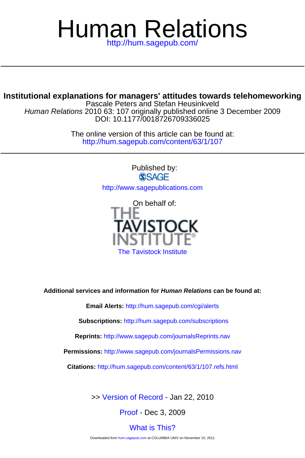# Human Relations <http://hum.sagepub.com/>

**Institutional explanations for managers' attitudes towards telehomeworking**

DOI: 10.1177/0018726709336025 Human Relations 2010 63: 107 originally published online 3 December 2009 Pascale Peters and Stefan Heusinkveld

> <http://hum.sagepub.com/content/63/1/107> The online version of this article can be found at:

> > Published by:<br>
> > SAGE <http://www.sagepublications.com>



**Additional services and information for Human Relations can be found at:**

**Email Alerts:** <http://hum.sagepub.com/cgi/alerts>

**Subscriptions:** <http://hum.sagepub.com/subscriptions>

**Reprints:** <http://www.sagepub.com/journalsReprints.nav>

**Permissions:** <http://www.sagepub.com/journalsPermissions.nav>

**Citations:** <http://hum.sagepub.com/content/63/1/107.refs.html>

>> [Version of Record -](http://hum.sagepub.com/content/63/1/107.full.pdf) Jan 22, 2010

[Proof -](http://hum.sagepub.com/content/early/2009/12/03/0018726709336025.full.pdf) Dec 3, 2009

[What is This?](http://online.sagepub.com/site/sphelp/vorhelp.xhtml) Downloaded fro[m hum.sagepub.com a](http://hum.sagepub.com/)t COLUMBIA UNIV on November 10, 2011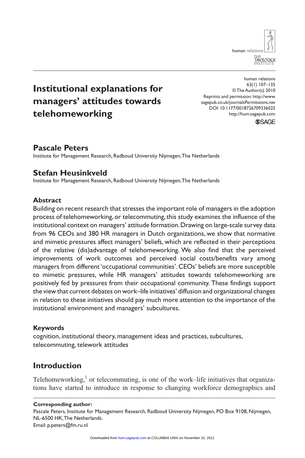

# **Institutional explanations for managers' attitudes towards telehomeworking**

human relations 63(1) 107–135 © The Author(s) 2010 Reprints and permission: http://www. sagepub.co.uk/journalsPermissions.nav DOI: 10.1177/0018726709336025 http://hum.sagepub.com **SSAGE** 

# **Pascale Peters**

Institute for Management Research, Radboud University Nijmegen, The Netherlands

# **Stefan Heusinkveld**

Institute for Management Research, Radboud University Nijmegen, The Netherlands

# **Abstract**

Building on recent research that stresses the important role of managers in the adoption process of telehomeworking, or telecommuting, this study examines the influence of the institutional context on managers' attitude formation. Drawing on large-scale survey data from 96 CEOs and 380 HR managers in Dutch organizations, we show that normative and mimetic pressures affect managers' beliefs, which are reflected in their perceptions of the relative (dis)advantage of telehomeworking. We also find that the perceived improvements of work outcomes and perceived social costs/benefits vary among managers from different 'occupational communities'. CEOs' beliefs are more susceptible to mimetic pressures, while HR managers' attitudes towards telehomeworking are positively fed by pressures from their occupational community. These findings support the view that current debates on work–life initiatives' diffusion and organizational changes in relation to these initiatives should pay much more attention to the importance of the institutional environment and managers' subcultures.

#### **Keywords**

cognition, institutional theory, management ideas and practices, subcultures, telecommuting, telework attitudes

# **Introduction**

Telehomeworking, $<sup>1</sup>$  or telecommuting, is one of the work–life initiatives that organiza-</sup> tions have started to introduce in response to changing workforce demographics and

#### **Corresponding author:**

Pascale Peters, Institute for Management Research, Radboud University Nijmegen, PO Box 9108, Nijmegen, NL-6500 HK, The Netherlands. Email: p.peters@fm.ru.nl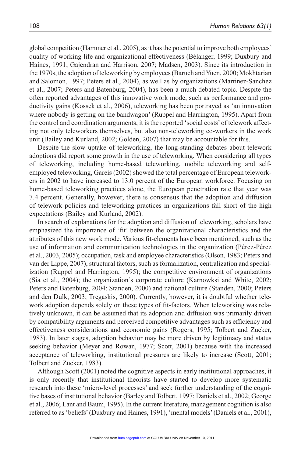global competition (Hammer et al., 2005), as it has the potential to improve both employees' quality of working life and organizational effectiveness (Bélanger, 1999; Duxbury and Haines, 1991; Gajendran and Harrison, 2007; Madsen, 2003). Since its introduction in the 1970s, the adoption of teleworking by employees (Baruch and Yuen, 2000; Mokhtarian and Salomon, 1997; Peters et al., 2004), as well as by organizations (Martinez-Sanchez et al., 2007; Peters and Batenburg, 2004), has been a much debated topic. Despite the often reported advantages of this innovative work mode, such as performance and productivity gains (Kossek et al., 2006), teleworking has been portrayed as 'an innovation where nobody is getting on the bandwagon' (Ruppel and Harrington, 1995). Apart from the control and coordination arguments, it is the reported 'social costs' of telework affecting not only teleworkers themselves, but also non-teleworking co-workers in the work unit (Bailey and Kurland, 2002; Golden, 2007) that may be accountable for this.

Despite the slow uptake of teleworking, the long-standing debates about telework adoptions did report some growth in the use of teleworking. When considering all types of teleworking, including home-based teleworking, mobile teleworking and selfemployed teleworking, Gareis (2002) showed the total percentage of European teleworkers in 2002 to have increased to 13.0 percent of the European workforce. Focusing on home-based teleworking practices alone, the European penetration rate that year was 7.4 percent. Generally, however, there is consensus that the adoption and diffusion of telework policies and teleworking practices in organizations fall short of the high expectations (Bailey and Kurland, 2002).

In search of explanations for the adoption and diffusion of teleworking, scholars have emphasized the importance of 'fit' between the organizational characteristics and the attributes of this new work mode. Various fit-elements have been mentioned, such as the use of information and communication technologies in the organization (Pérez-Pérez et al., 2003, 2005); occupation, task and employee characteristics (Olson, 1983; Peters and van der Lippe, 2007), structural factors, such as formalization, centralization and specialization (Ruppel and Harrington, 1995); the competitive environment of organizations (Sia et al., 2004); the organization's corporate culture (Karnowksi and White, 2002; Peters and Batenburg, 2004; Standen, 2000) and national culture (Standen, 2000; Peters and den Dulk, 2003; Tregaskis, 2000). Currently, however, it is doubtful whether telework adoption depends solely on these types of fit-factors. When teleworking was relatively unknown, it can be assumed that its adoption and diffusion was primarily driven by compatibility arguments and perceived competitive advantages such as efficiency and effectiveness considerations and economic gains (Rogers, 1995; Tolbert and Zucker, 1983). In later stages, adoption behavior may be more driven by legitimacy and status seeking behavior (Meyer and Rowan, 1977; Scott, 2001) because with the increased acceptance of teleworking, institutional pressures are likely to increase (Scott, 2001; Tolbert and Zucker, 1983).

Although Scott (2001) noted the cognitive aspects in early institutional approaches, it is only recently that institutional theorists have started to develop more systematic research into these 'micro-level processes' and seek further understanding of the cognitive bases of institutional behavior (Barley and Tolbert, 1997; Daniels et al., 2002; George et al., 2006; Lant and Baum, 1995). In the current literature, management cognition is also referred to as 'beliefs' (Duxbury and Haines, 1991), 'mental models' (Daniels et al., 2001),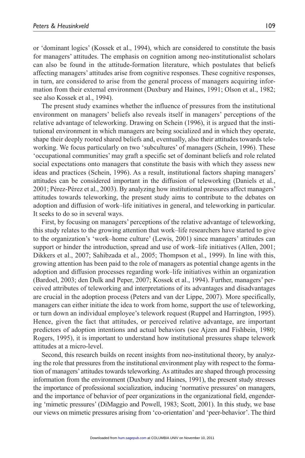or 'dominant logics' (Kossek et al., 1994), which are considered to constitute the basis for managers' attitudes. The emphasis on cognition among neo-institutionalist scholars can also be found in the attitude-formation literature, which postulates that beliefs affecting managers' attitudes arise from cognitive responses. These cognitive responses, in turn, are considered to arise from the general process of managers acquiring information from their external environment (Duxbury and Haines, 1991; Olson et al., 1982; see also Kossek et al., 1994).

The present study examines whether the influence of pressures from the institutional environment on managers' beliefs also reveals itself in managers' perceptions of the relative advantage of teleworking. Drawing on Schein (1996), it is argued that the institutional environment in which managers are being socialized and in which they operate, shape their deeply rooted shared beliefs and, eventually, also their attitudes towards teleworking. We focus particularly on two 'subcultures' of managers (Schein, 1996). These 'occupational communities' may graft a specific set of dominant beliefs and role related social expectations onto managers that constitute the basis with which they assess new ideas and practices (Schein, 1996). As a result, institutional factors shaping managers' attitudes can be considered important in the diffusion of teleworking (Daniels et al., 2001; Pérez-Pérez et al., 2003). By analyzing how institutional pressures affect managers' attitudes towards teleworking, the present study aims to contribute to the debates on adoption and diffusion of work–life initiatives in general, and teleworking in particular. It seeks to do so in several ways.

First, by focusing on managers' perceptions of the relative advantage of teleworking, this study relates to the growing attention that work–life researchers have started to give to the organization's 'work–home culture' (Lewis, 2001) since managers' attitudes can support or hinder the introduction, spread and use of work–life initiatives (Allen, 2001; Dikkers et al., 2007; Sahibzada et al., 2005; Thompson et al., 1999). In line with this, growing attention has been paid to the role of managers as potential change agents in the adoption and diffusion processes regarding work–life initiatives within an organization (Bardoel, 2003; den Dulk and Peper, 2007; Kossek et al., 1994). Further, managers' perceived attributes of teleworking and interpretations of its advantages and disadvantages are crucial in the adoption process (Peters and van der Lippe, 2007). More specifically, managers can either initiate the idea to work from home, support the use of teleworking, or turn down an individual employee's telework request (Ruppel and Harrington, 1995). Hence, given the fact that attitudes, or perceived relative advantage, are important predictors of adoption intentions and actual behaviors (see Ajzen and Fishbein, 1980; Rogers, 1995), it is important to understand how institutional pressures shape telework attitudes at a micro-level.

Second, this research builds on recent insights from neo-institutional theory, by analyzing the role that pressures from the institutional environment play with respect to the formation of managers' attitudes towards teleworking. As attitudes are shaped through processing information from the environment (Duxbury and Haines, 1991), the present study stresses the importance of professional socialization, inducing 'normative pressures' on managers, and the importance of behavior of peer organizations in the organizational field, engendering 'mimetic pressures' (DiMaggio and Powell, 1983; Scott, 2001). In this study, we base our views on mimetic pressures arising from 'co-orientation' and 'peer-behavior'. The third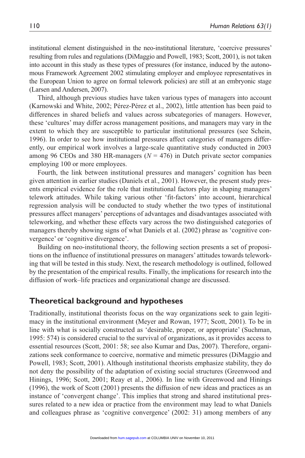institutional element distinguished in the neo-institutional literature, 'coercive pressures' resulting from rules and regulations (DiMaggio and Powell, 1983; Scott, 2001), is not taken into account in this study as these types of pressures (for instance, induced by the autonomous Framework Agreement 2002 stimulating employer and employee representatives in the European Union to agree on formal telework policies) are still at an embryonic stage (Larsen and Andersen, 2007).

Third, although previous studies have taken various types of managers into account (Karnowski and White, 2002; Pérez-Pérez et al., 2002), little attention has been paid to differences in shared beliefs and values across subcategories of managers. However, these 'cultures' may differ across management positions, and managers may vary in the extent to which they are susceptible to particular institutional pressures (see Schein, 1996). In order to see how institutional pressures affect categories of managers differently, our empirical work involves a large-scale quantitative study conducted in 2003 among 96 CEOs and 380 HR-managers  $(N = 476)$  in Dutch private sector companies employing 100 or more employees.

Fourth, the link between institutional pressures and managers' cognition has been given attention in earlier studies (Daniels et al., 2001). However, the present study presents empirical evidence for the role that institutional factors play in shaping managers' telework attitudes. While taking various other 'fit-factors' into account, hierarchical regression analysis will be conducted to study whether the two types of institutional pressures affect managers' perceptions of advantages and disadvantages associated with teleworking, and whether these effects vary across the two distinguished categories of managers thereby showing signs of what Daniels et al. (2002) phrase as 'cognitive convergence' or 'cognitive divergence'.

Building on neo-institutional theory, the following section presents a set of propositions on the influence of institutional pressures on managers' attitudes towards teleworking that will be tested in this study. Next, the research methodology is outlined, followed by the presentation of the empirical results. Finally, the implications for research into the diffusion of work–life practices and organizational change are discussed.

#### **Theoretical background and hypotheses**

Traditionally, institutional theorists focus on the way organizations seek to gain legitimacy in the institutional environment (Meyer and Rowan, 1977; Scott, 2001). To be in line with what is socially constructed as 'desirable, proper, or appropriate' (Suchman, 1995: 574) is considered crucial to the survival of organizations, as it provides access to essential resources (Scott, 2001: 58; see also Kumar and Das, 2007). Therefore, organizations seek conformance to coercive, normative and mimetic pressures (DiMaggio and Powell, 1983; Scott, 2001). Although institutional theorists emphasize stability, they do not deny the possibility of the adaptation of existing social structures (Greenwood and Hinings, 1996; Scott, 2001; Reay et al., 2006). In line with Greenwood and Hinings (1996), the work of Scott (2001) presents the diffusion of new ideas and practices as an instance of 'convergent change'. This implies that strong and shared institutional pressures related to a new idea or practice from the environment may lead to what Daniels and colleagues phrase as 'cognitive convergence' (2002: 31) among members of any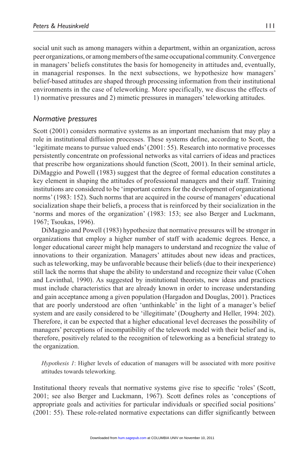social unit such as among managers within a department, within an organization, across peer organizations, or among members of the same occupational community. Convergence in managers' beliefs constitutes the basis for homogeneity in attitudes and, eventually, in managerial responses. In the next subsections, we hypothesize how managers' belief-based attitudes are shaped through processing information from their institutional environments in the case of teleworking. More specifically, we discuss the effects of 1) normative pressures and 2) mimetic pressures in managers' teleworking attitudes.

# *Normative pressures*

Scott (2001) considers normative systems as an important mechanism that may play a role in institutional diffusion processes. These systems define, according to Scott, the 'legitimate means to pursue valued ends' (2001: 55). Research into normative processes persistently concentrate on professional networks as vital carriers of ideas and practices that prescribe how organizations should function (Scott, 2001). In their seminal article, DiMaggio and Powell (1983) suggest that the degree of formal education constitutes a key element in shaping the attitudes of professional managers and their staff. Training institutions are considered to be 'important centers for the development of organizational norms' (1983: 152). Such norms that are acquired in the course of managers' educational socialization shape their beliefs, a process that is reinforced by their socialization in the 'norms and mores of the organization' (1983: 153; see also Berger and Luckmann, 1967; Tsoukas, 1996).

DiMaggio and Powell (1983) hypothesize that normative pressures will be stronger in organizations that employ a higher number of staff with academic degrees. Hence, a longer educational career might help managers to understand and recognize the value of innovations to their organization. Managers' attitudes about new ideas and practices, such as teleworking, may be unfavorable because their beliefs (due to their inexperience) still lack the norms that shape the ability to understand and recognize their value (Cohen and Levinthal, 1990). As suggested by institutional theorists, new ideas and practices must include characteristics that are already known in order to increase understanding and gain acceptance among a given population (Hargadon and Douglas, 2001). Practices that are poorly understood are often 'unthinkable' in the light of a manager's belief system and are easily considered to be 'illegitimate' (Dougherty and Heller, 1994: 202). Therefore, it can be expected that a higher educational level decreases the possibility of managers' perceptions of incompatibility of the telework model with their belief and is, therefore, positively related to the recognition of teleworking as a beneficial strategy to the organization.

*Hypothesis 1*: Higher levels of education of managers will be associated with more positive attitudes towards teleworking.

Institutional theory reveals that normative systems give rise to specific 'roles' (Scott, 2001; see also Berger and Luckmann, 1967). Scott defines roles as 'conceptions of appropriate goals and activities for particular individuals or specified social positions' (2001: 55). These role-related normative expectations can differ significantly between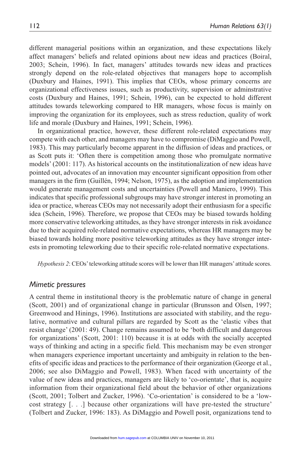different managerial positions within an organization, and these expectations likely affect managers' beliefs and related opinions about new ideas and practices (Boiral, 2003; Schein, 1996). In fact, managers' attitudes towards new ideas and practices strongly depend on the role-related objectives that managers hope to accomplish (Duxbury and Haines, 1991). This implies that CEOs, whose primary concerns are organizational effectiveness issues, such as productivity, supervision or adminstrative costs (Duxbury and Haines, 1991; Schein, 1996), can be expected to hold different attitudes towards teleworking compared to HR managers, whose focus is mainly on improving the organization for its employees, such as stress reduction, quality of work life and morale (Duxbury and Haines, 1991; Schein, 1996).

In organizational practice, however, these different role-related expectations may compete with each other, and managers may have to compromise (DiMaggio and Powell, 1983). This may particularly become apparent in the diffusion of ideas and practices, or as Scott puts it: 'Often there is competition among those who promulgate normative models' (2001: 117). As historical accounts on the institutionalization of new ideas have pointed out, advocates of an innovation may encounter significant opposition from other managers in the firm (Guillén, 1994; Nelson, 1975), as the adoption and implementation would generate management costs and uncertainties (Powell and Maniero, 1999). This indicates that specific professional subgroups may have stronger interest in promoting an idea or practice, whereas CEOs may not necessarily adopt their enthusiasm for a specific idea (Schein, 1996). Therefore, we propose that CEOs may be biased towards holding more conservative teleworking attitudes, as they have stronger interests in risk avoidance due to their acquired role-related normative expectations, whereas HR managers may be biased towards holding more positive teleworking attitudes as they have stronger interests in promoting teleworking due to their specific role-related normative expectations.

*Hypothesis 2*: CEOs' teleworking attitude scores will be lower than HR managers' attitude scores.

#### *Mimetic pressures*

A central theme in institutional theory is the problematic nature of change in general (Scott, 2001) and of organizational change in particular (Brunsson and Olsen, 1997; Greenwood and Hinings, 1996). Institutions are associated with stability, and the regulative, normative and cultural pillars are regarded by Scott as the 'elastic vibes that resist change' (2001: 49). Change remains assumed to be 'both difficult and dangerous for organizations' (Scott, 2001: 110) because it is at odds with the socially accepted ways of thinking and acting in a specific field. This mechanism may be even stronger when managers experience important uncertainty and ambiguity in relation to the benefits of specific ideas and practices to the performance of their organization (George et al., 2006; see also DiMaggio and Powell, 1983). When faced with uncertainty of the value of new ideas and practices, managers are likely to 'co-orientate', that is, acquire information from their organizational field about the behavior of other organizations (Scott, 2001; Tolbert and Zucker, 1996). 'Co-orientation' is considered to be a 'lowcost strategy [. . .] because other organizations will have pre-tested the structure' (Tolbert and Zucker, 1996: 183). As DiMaggio and Powell posit, organizations tend to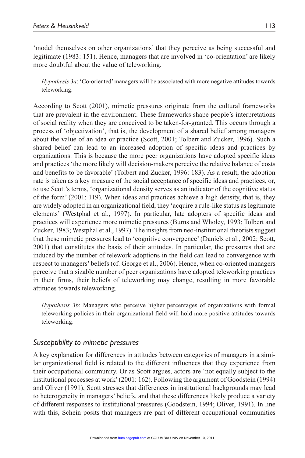'model themselves on other organizations' that they perceive as being successful and legitimate (1983: 151). Hence, managers that are involved in 'co-orientation' are likely more doubtful about the value of teleworking.

*Hypothesis 3a*: 'Co-oriented' managers will be associated with more negative attitudes towards teleworking.

According to Scott (2001), mimetic pressures originate from the cultural frameworks that are prevalent in the environment. These frameworks shape people's interpretations of social reality when they are conceived to be taken-for-granted. This occurs through a process of 'objectivation', that is, the development of a shared belief among managers about the value of an idea or practice (Scott, 2001; Tolbert and Zucker, 1996). Such a shared belief can lead to an increased adoption of specific ideas and practices by organizations. This is because the more peer organizations have adopted specific ideas and practices 'the more likely will decision-makers perceive the relative balance of costs and benefits to be favorable' (Tolbert and Zucker, 1996: 183). As a result, the adoption rate is taken as a key measure of the social acceptance of specific ideas and practices, or, to use Scott's terms, 'organizational density serves as an indicator of the cognitive status of the form' (2001: 119). When ideas and practices achieve a high density, that is, they are widely adopted in an organizational field, they 'acquire a rule-like status as legitimate elements' (Westphal et al., 1997). In particular, late adopters of specific ideas and practices will experience more mimetic pressures (Burns and Wholey, 1993; Tolbert and Zucker, 1983; Westphal et al., 1997). The insights from neo-institutional theorists suggest that these mimetic pressures lead to 'cognitive convergence' (Daniels et al., 2002; Scott, 2001) that constitutes the basis of their attitudes. In particular, the pressures that are induced by the number of telework adoptions in the field can lead to convergence with respect to managers' beliefs (cf. George et al., 2006). Hence, when co-oriented managers perceive that a sizable number of peer organizations have adopted teleworking practices in their firms, their beliefs of teleworking may change, resulting in more favorable attitudes towards teleworking.

*Hypothesis 3b*: Managers who perceive higher percentages of organizations with formal teleworking policies in their organizational field will hold more positive attitudes towards teleworking.

# *Susceptibility to mimetic pressures*

A key explanation for differences in attitudes between categories of managers in a similar organizational field is related to the different influences that they experience from their occupational community. Or as Scott argues, actors are 'not equally subject to the institutional processes at work' (2001: 162). Following the argument of Goodstein (1994) and Oliver (1991), Scott stresses that differences in institutional backgrounds may lead to heterogeneity in managers' beliefs, and that these differences likely produce a variety of different responses to institutional pressures (Goodstein, 1994; Oliver, 1991). In line with this, Schein posits that managers are part of different occupational communities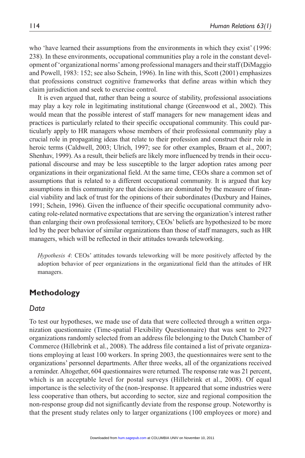who 'have learned their assumptions from the environments in which they exist' (1996: 238). In these environments, occupational communities play a role in the constant development of 'organizational norms' among professional managers and their staff (DiMaggio and Powell, 1983: 152; see also Schein, 1996). In line with this, Scott (2001) emphasizes that professions construct cognitive frameworks that define areas within which they claim jurisdiction and seek to exercise control.

It is even argued that, rather than being a source of stability, professional associations may play a key role in legitimating institutional change (Greenwood et al., 2002). This would mean that the possible interest of staff managers for new management ideas and practices is particularly related to their specific occupational community. This could particularly apply to HR managers whose members of their professional community play a crucial role in propagating ideas that relate to their profession and construct their role in heroic terms (Caldwell, 2003; Ulrich, 1997; see for other examples, Braam et al., 2007; Shenhav, 1999). As a result, their beliefs are likely more influenced by trends in their occupational discourse and may be less susceptible to the larger adoption rates among peer organizations in their organizational field. At the same time, CEOs share a common set of assumptions that is related to a different occupational community. It is argued that key assumptions in this community are that decisions are dominated by the measure of financial viability and lack of trust for the opinions of their subordinates (Duxbury and Haines, 1991; Schein, 1996). Given the influence of their specific occupational community advocating role-related normative expectations that are serving the organization's interest rather than enlarging their own professional territory, CEOs' beliefs are hypothesized to be more led by the peer behavior of similar organizations than those of staff managers, such as HR managers, which will be reflected in their attitudes towards teleworking.

*Hypothesis 4*: CEOs' attitudes towards teleworking will be more positively affected by the adoption behavior of peer organizations in the organizational field than the attitudes of HR managers.

# **Methodology**

#### *Data*

To test our hypotheses, we made use of data that were collected through a written organization questionnaire (Time-spatial Flexibility Questionnaire) that was sent to 2927 organizations randomly selected from an address file belonging to the Dutch Chamber of Commerce (Hillebrink et al., 2008). The address file contained a list of private organizations employing at least 100 workers. In spring 2003, the questionnaires were sent to the organizations' personnel departments. After three weeks, all of the organizations received a reminder. Altogether, 604 questionnaires were returned. The response rate was 21 percent, which is an acceptable level for postal surveys (Hillebrink et al., 2008). Of equal importance is the selectivity of the (non-)response. It appeared that some industries were less cooperative than others, but according to sector, size and regional composition the non-response group did not significantly deviate from the response group. Noteworthy is that the present study relates only to larger organizations (100 employees or more) and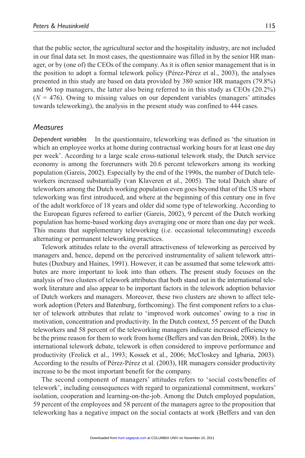that the public sector, the agricultural sector and the hospitality industry, are not included in our final data set. In most cases, the questionnaire was filled in by the senior HR manager, or by (one of) the CEOs of the company. As it is often senior management that is in the position to adopt a formal telework policy (Pérez-Pérez et al., 2003), the analyses presented in this study are based on data provided by 380 senior HR managers (79.8%) and 96 top managers, the latter also being referred to in this study as CEOs (20.2%)  $(N = 476)$ . Owing to missing values on our dependent variables (managers' attitudes towards teleworking), the analysis in the present study was confined to 444 cases.

#### *Measures*

*Dependent variables* In the questionnaire, teleworking was defined as 'the situation in which an employee works at home during contractual working hours for at least one day per week'. According to a large scale cross-national telework study, the Dutch service economy is among the forerunners with 20.6 percent teleworkers among its working population (Gareis, 2002). Especially by the end of the 1990s, the number of Dutch teleworkers increased substantially (van Klaveren et al., 2005). The total Dutch share of teleworkers among the Dutch working population even goes beyond that of the US where teleworking was first introduced, and where at the beginning of this century one in five of the adult workforce of 18 years and older did some type of teleworking. According to the European figures referred to earlier (Gareis, 2002), 9 percent of the Dutch working population has home-based working days averaging one or more than one day per week. This means that supplementary teleworking (i.e. occasional telecommuting) exceeds alternating or permanent teleworking practices.

Telework attitudes relate to the overall attractiveness of teleworking as perceived by managers and, hence, depend on the perceived instrumentality of salient telework attributes (Duxbury and Haines, 1991). However, it can be assumed that some telework attributes are more important to look into than others. The present study focuses on the analysis of two clusters of telework attributes that both stand out in the international telework literature and also appear to be important factors in the telework adoption behavior of Dutch workers and managers. Moreover, these two clusters are shown to affect telework adoption (Peters and Batenburg, forthcoming). The first component refers to a cluster of telework attributes that relate to 'improved work outcomes' owing to a rise in motivation, concentration and productivity. In the Dutch context, 55 percent of the Dutch teleworkers and 58 percent of the teleworking managers indicate increased efficiency to be the prime reason for them to work from home (Beffers and van den Brink, 2008). In the international telework debate, telework is often considered to improve performance and productivity (Frolick et al., 1993; Kossek et al., 2006; McCloskey and Igbaria, 2003). According to the results of Pérez-Pérez et al. (2003), HR managers consider productivity increase to be the most important benefit for the company.

The second component of managers' attitudes refers to 'social costs/benefits of telework', including consequences with regard to organizational commitment, workers' isolation, cooperation and learning-on-the-job. Among the Dutch employed population, 59 percent of the employees and 58 percent of the managers agree to the proposition that teleworking has a negative impact on the social contacts at work (Beffers and van den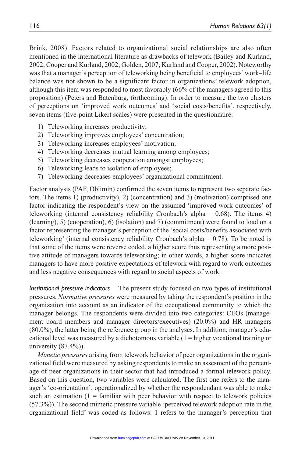Brink, 2008). Factors related to organizational social relationships are also often mentioned in the international literature as drawbacks of telework (Bailey and Kurland, 2002; Cooper and Kurland, 2002; Golden, 2007; Kurland and Cooper, 2002). Noteworthy was that a manager's perception of teleworking being beneficial to employees' work–life balance was not shown to be a significant factor in organizations' telework adoption, although this item was responded to most favorably (66% of the managers agreed to this proposition) (Peters and Batenburg, forthcoming). In order to measure the two clusters of perceptions on 'improved work outcomes' and 'social costs/benefits', respectively, seven items (five-point Likert scales) were presented in the questionnaire:

- 1) Teleworking increases productivity;
- 2) Teleworking improves employees' concentration;
- 3) Teleworking increases employees' motivation;
- 4) Teleworking decreases mutual learning among employees;
- 5) Teleworking decreases cooperation amongst employees;
- 6) Teleworking leads to isolation of employees;
- 7) Teleworking decreases employees' organizational commitment.

Factor analysis (PAF, Oblimin) confirmed the seven items to represent two separate factors. The items 1) (productivity), 2) (concentration) and 3) (motivation) comprised one factor indicating the respondent's view on the assumed 'improved work outcomes' of teleworking (internal consistency reliability Cronbach's alpha = 0.68). The items 4) (learning), 5) (cooperation), 6) (isolation) and 7) (commitment) were found to load on a factor representing the manager's perception of the 'social costs/benefits associated with teleworking' (internal consistency reliability Cronbach's alpha  $= 0.78$ ). To be noted is that some of the items were reverse coded, a higher score thus representing a more positive attitude of managers towards teleworking; in other words, a higher score indicates managers to have more positive expectations of telework with regard to work outcomes and less negative consequences with regard to social aspects of work.

*Institutional pressure indicators* The present study focused on two types of institutional pressures. *Normative pressures* were measured by taking the respondent's position in the organization into account as an indicator of the occupational community to which the manager belongs. The respondents were divided into two categories: CEOs (management board members and manager directors/executives) (20.0%) and HR managers (80.0%), the latter being the reference group in the analyses. In addition, manager's educational level was measured by a dichotomous variable  $(1 =$  higher vocational training or university  $(87.4\%)$ .

*Mimetic pressures* arising from telework behavior of peer organizations in the organizational field were measured by asking respondents to make an assesment of the percentage of peer organizations in their sector that had introduced a formal telework policy. Based on this question, two variables were calculated. The first one refers to the manager's 'co-orientation', operationalized by whether the respondendant was able to make such an estimation  $(1 = \text{familiar with peer behavior with respect to telework policies})$ (57.3%)). The second mimetic pressure variable 'perceived telework adoption rate in the organizational field' was coded as follows: 1 refers to the manager's perception that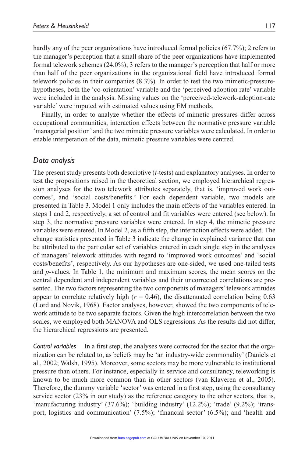hardly any of the peer organizations have introduced formal policies (67.7%); 2 refers to the manager's perception that a small share of the peer organizations have implemented formal telework schemes (24.0%); 3 refers to the manager's perception that half or more than half of the peer organizations in the organizational field have introduced formal telework policies in their companies (8.3%). In order to test the two mimetic-pressurehypotheses, both the 'co-orientation' variable and the 'perceived adoption rate' variable were included in the analysis. Missing values on the 'perceived-telework-adoption-rate variable' were imputed with estimated values using EM methods.

Finally, in order to analyze whether the effects of mimetic pressures differ across occupational communities, interaction effects between the normative pressure variable 'managerial position' and the two mimetic pressure variables were calculated. In order to enable interpetation of the data, mimetic pressure variables were centred.

# *Data analysis*

The present study presents both descriptive (*t*-tests) and explanatory analyses. In order to test the propositions raised in the theoretical section, we employed hierarchical regression analyses for the two telework attributes separately, that is, 'improved work outcomes', and 'social costs/benefits.' For each dependent variable, two models are presented in Table 3. Model 1 only includes the main effects of the variables entered. In steps 1 and 2, respectively, a set of control and fit variables were entered (see below). In step 3, the normative pressure variables were entered. In step 4, the mimetic pressure variables were entered. In Model 2, as a fifth step, the interaction effects were added. The change statistics presented in Table 3 indicate the change in explained variance that can be attributed to the particular set of variables entered in each single step in the analyses of managers' telework attitudes with regard to 'improved work outcomes' and 'social costs/benefits', respectively. As our hypotheses are one-sided, we used one-tailed tests and *p*-values. In Table 1, the minimum and maximum scores, the mean scores on the central dependent and independent variables and their uncorrected correlations are presented. The two factors representing the two components of managers' telework attitudes appear to correlate relatively high  $(r = 0.46)$ , the disattenuated correlation being 0.63 (Lord and Novik, 1968). Factor analyses, however, showed the two components of telework attitude to be two separate factors. Given the high intercorrelation between the two scales, we employed both MANOVA and OLS regressions. As the results did not differ, the hierarchical regressions are presented.

*Control variables* In a first step, the analyses were corrected for the sector that the organization can be related to, as beliefs may be 'an industry-wide commonality' (Daniels et al., 2002; Walsh, 1995). Moreover, some sectors may be more vulnerable to institutional pressure than others. For instance, especially in service and consultancy, teleworking is known to be much more common than in other sectors (van Klaveren et al., 2005). Therefore, the dummy variable 'sector' was entered in a first step, using the consultancy service sector (23% in our study) as the reference category to the other sectors, that is, 'manufacturing industry' (37.6%); 'building industry' (12.2%); 'trade' (9.2%); 'transport, logistics and communication' (7.5%); 'financial sector' (6.5%); and 'health and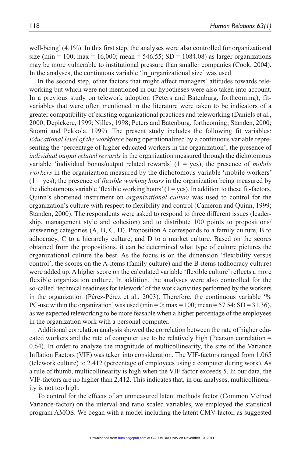well-being' (4.1%). In this first step, the analyses were also controlled for organizational size (min = 100; max = 16,000; mean = 546.55; SD = 1084.08) as larger organizations may be more vulnerable to institutional pressure than smaller companies (Cook, 2004). In the analyses, the continuous variable 'ln\_organizational size' was used.

In the second step, other factors that might affect managers' attitudes towards teleworking but which were not mentioned in our hypotheses were also taken into account. In a previous study on telework adoption (Peters and Batenburg, forthcoming), fitvariables that were often mentioned in the literature were taken to be indicators of a greater compatibility of existing organizational practices and teleworking (Daniels et al., 2000; Depickere, 1999; Nilles, 1998; Peters and Batenburg, forthcoming; Standen, 2000; Suomi and Pekkola, 1999). The present study includes the following fit variables: *Educational level of the workforce* being operationalized by a continuous variable representing the 'percentage of higher educated workers in the organization'; the presence of *individual output related rewards* in the organization measured through the dichotomous variable 'individual bonus/output related rewards' (1 = yes); the presence of *mobile workers* in the organization measured by the dichotomous variable 'mobile workers' (1 = yes); the presence of *flexible working hours* in the organization being measured by the dichotomous variable 'flexible working hours'  $(1 = yes)$ . In addition to these fit-factors, Quinn's shortened instrument on *organizational culture* was used to control for the organization's culture with respect to flexibility and control (Cameron and Quinn, 1999; Standen, 2000). The respondents were asked to respond to three different issues (leadership, management style and cohesion) and to distribute 100 points to propositions/ answering categories (A, B, C, D). Proposition A corresponds to a family culture, B to adhocracy, C to a hierarchy culture, and D to a market culture. Based on the scores obtained from the propositions, it can be determined what type of culture pictures the organizational culture the best. As the focus is on the dimension 'flexibility versus control', the scores on the A-items (family culture) and the B-items (adhocracy culture) were added up. A higher score on the calculated variable 'flexible culture' reflects a more flexible organization culture. In addition, the analyses were also controlled for the so-called 'technical readiness for telework' of the work activities performed by the workers in the organization (Pérez-Pérez et al., 2003). Therefore, the continuous variable '% PC-use within the organization' was used (min = 0; max = 100; mean = 57.54; SD = 31.36), as we expected teleworking to be more feasable when a higher percentage of the employees in the organization work with a personal computer.

Additional correlation analysis showed the correlation between the rate of higher educated workers and the rate of computer use to be relatively high (Pearson correlation = 0.64). In order to analyze the magnitude of multicollinearity, the size of the Variance Inflation Factors (VIF) was taken into consideration. The VIF-factors ranged from 1.065 (telework culture) to 2.412 (percentage of employees using a computer during work). As a rule of thumb, multicollinearity is high when the VIF factor exceeds 5. In our data, the VIF-factors are no higher than 2.412. This indicates that, in our analyses, multicollinearity is not too high.

To control for the effects of an unmeasured latent methods factor (Common Method Variance-factor) on the interval and ratio scaled variables, we employed the statistical program AMOS. We began with a model including the latent CMV-factor, as suggested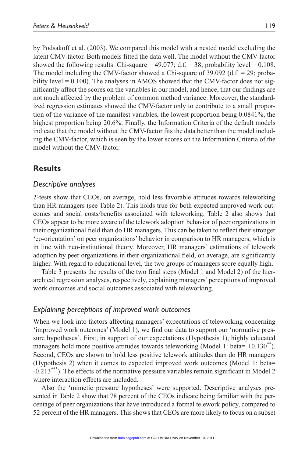by Podsakoff et al. (2003). We compared this model with a nested model excluding the latent CMV-factor. Both models fitted the data well. The model without the CMV-factor showed the following results: Chi-square =  $49.077$ ; d.f. = 38; probability level = 0.108. The model including the CMV-factor showed a Chi-square of 39.092 (d.f.  $= 29$ ; probability level  $= 0.100$ ). The analyses in AMOS showed that the CMV-factor does not significantly affect the scores on the variables in our model, and hence, that our findings are not much affected by the problem of common method variance. Moreover, the standardized regression estimates showed the CMV-factor only to contribute to a small proportion of the variance of the manifest variables, the lowest proportion being 0.0841%, the highest proportion being 20.6%. Finally, the Information Criteria of the default models indicate that the model without the CMV-factor fits the data better than the model including the CMV-factor, which is seen by the lower scores on the Information Criteria of the model without the CMV-factor.

# **Results**

#### *Descriptive analyses*

*T*-tests show that CEOs, on average, hold less favorable attitudes towards teleworking than HR managers (see Table 2). This holds true for both expected improved work outcomes and social costs/benefits associated with teleworking. Table 2 also shows that CEOs appear to be more aware of the telework adoption behavior of peer organizations in their organizational field than do HR managers. This can be taken to reflect their stronger 'co-orientation' on peer organizations' behavior in comparison to HR managers, which is in line with neo-institutional theory. Moreover, HR managers' estimations of telework adoption by peer organizations in their organizational field, on average, are significantly higher. With regard to educational level, the two groups of managers score equally high.

Table 3 presents the results of the two final steps (Model 1 and Model 2) of the hierarchical regression analyses, respectively, explaining managers' perceptions of improved work outcomes and social outcomes associated with teleworking.

# *Explaining perceptions of improved work outcomes*

When we look into factors affecting managers' expectations of teleworking concerning 'improved work outcomes' (Model 1), we find our data to support our 'normative pressure hypotheses'. First, in support of our expectations (Hypothesis 1), highly educated managers hold more positive attitudes towards teleworking (Model 1: beta=  $+0.130$ <sup>\*\*</sup>). Second, CEOs are shown to hold less positive telework attitudes than do HR managers (Hypothesis 2) when it comes to expected improved work outcomes (Model 1: beta= -0.213\*\*\*). The effects of the normative pressure variables remain significant in Model 2 where interaction effects are included.

Also the 'mimetic pressure hypotheses' were supported. Descriptive analyses presented in Table 2 show that 78 percent of the CEOs indicate being familiar with the percentage of peer organizations that have introduced a formal telework policy, compared to 52 percent of the HR managers. This shows that CEOs are more likely to focus on a subset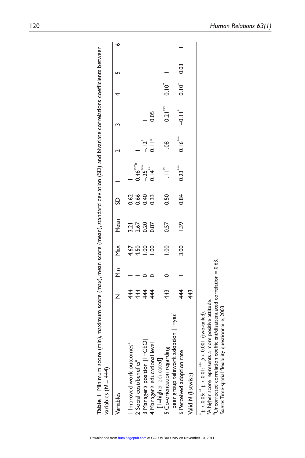| Table 1 Minimum score (min), maximum score (max), mean score (mean), standard deviation (SD) and bivariate correlations coefficients between<br>variables $(N = 444)$ |     |            |                 |                |      |                              |               |                  |                     |      |  |
|-----------------------------------------------------------------------------------------------------------------------------------------------------------------------|-----|------------|-----------------|----------------|------|------------------------------|---------------|------------------|---------------------|------|--|
| Variables                                                                                                                                                             | Z   | <b>Min</b> | Max             | Mean           | g    |                              |               |                  |                     |      |  |
| Improved work outcomes <sup>a</sup>                                                                                                                                   |     |            | 4.67            |                | 0.62 |                              |               |                  |                     |      |  |
| 2 Social cost/benefits <sup>a</sup>                                                                                                                                   |     |            | 4.50            | $3.21$<br>2.67 | 0.66 | $0.46^{***b}$                |               |                  |                     |      |  |
| 3 Manager's position [I=CEO]                                                                                                                                          |     |            | 00.1            | 0.20           | 0.40 | $-25$ <sup>***</sup><br>0.14 |               |                  |                     |      |  |
| level<br>4 Manager's educational                                                                                                                                      |     |            | 00 <sub>1</sub> | 0.87           | 0.33 |                              | $\frac{1}{2}$ | 0.05             |                     |      |  |
| [I=higher educated]                                                                                                                                                   |     |            |                 |                |      |                              |               |                  |                     |      |  |
| 5 Co-orientation regarding                                                                                                                                            | 443 |            | $\frac{8}{10}$  | 0.57           | 0.50 | $\frac{1}{\sqrt{2}}$         | $-08$         | $0.21***$        | $\sum_{i=1}^{n}$    |      |  |
| peer group telework adoption [I=yes]                                                                                                                                  |     |            |                 |                |      |                              |               |                  |                     |      |  |
| 6 Perceived adoption rate                                                                                                                                             | 44  |            | 3.00            | 1.39           | 0.84 | $0.23***$                    | $0.16^{***}$  | $rac{1}{\gamma}$ | $0.10$ <sup>*</sup> | 0.03 |  |
| Valid N (listwise)                                                                                                                                                    | 443 |            |                 |                |      |                              |               |                  |                     |      |  |
| $p < 0.05$ ; $p < 0.01$ ; $p < 0.001$ (two-tailed).                                                                                                                   |     |            |                 |                |      |                              |               |                  |                     |      |  |
| Uncorrected correlation coefficient/disattenuated correlation $= 0.63$ .<br><sup>a</sup> A higher score represents a more positive attitude.                          |     |            |                 |                |      |                              |               |                  |                     |      |  |
| Source: Time-spatial flexibility questionnaire, 2003                                                                                                                  |     |            |                 |                |      |                              |               |                  |                     |      |  |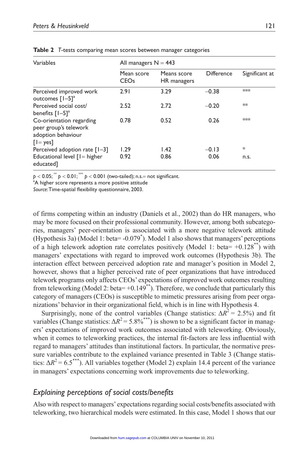| Variables                                                                                    | All managers $N = 443$    |                            |                   |                |
|----------------------------------------------------------------------------------------------|---------------------------|----------------------------|-------------------|----------------|
|                                                                                              | Mean score<br><b>CEOs</b> | Means score<br>HR managers | <b>Difference</b> | Significant at |
| Perceived improved work<br>outcomes $[1-5]^a$                                                | 2.91                      | 3.29                       | $-0.38$           | $*$            |
| Perceived social cost/<br>benefits $[1-5]$ <sup>a</sup>                                      | 2.52                      | 2.72                       | $-0.20$           | **             |
| Co-orientation regarding<br>peer group's telework<br>adoption behaviour<br>$\lceil$ l = yes] | 0.78                      | 0.52                       | 0.26              | $*$            |
| Perceived adoption rate $[1-3]$                                                              | 1.29                      | 1.42                       | $-0.13$           | $\ast$         |
| Educational level $\lceil$ l = higher<br>educated]                                           | 0.92                      | 0.86                       | 0.06              | n.s.           |

**Table 2** *T*-tests comparing mean scores between manager categories

 $p < 0.05$ ;  $\mu$   $> 0.01$ ;  $\mu$   $> 0.001$  (two-tailed); n.s. = not significant.

<sup>a</sup>A higher score represents a more positive attitude

*Source*: Time-spatial flexibility questionnaire, 2003.

of firms competing within an industry (Daniels et al., 2002) than do HR managers, who may be more focused on their professional community. However, among both subcategories, managers' peer-orientation is associated with a more negative telework attitude (Hypothesis 3a) (Model 1: beta= -0.079\* ). Model 1 also shows that managers' perceptions of a high telework adoption rate correlates positively (Model 1: beta=  $+0.128$ <sup>\*\*</sup>) with managers' expectations with regard to improved work outcomes (Hypothesis 3b). The interaction effect between perceived adoption rate and manager's position in Model 2, however, shows that a higher perceived rate of peer organizations that have introduced telework programs only affects CEOs' expectations of improved work outcomes resulting from teleworking (Model 2: beta= $+0.149$ <sup>\*\*</sup>). Therefore, we conclude that particularly this category of managers (CEOs) is susceptible to mimetic pressures arising from peer organizations' behavior in their organizational field, which is in line with Hypothesis 4.

Surprisingly, none of the control variables (Change statistics:  $\Delta R^2 = 2.5\%$ ) and fit variables (Change statistics:  $\Delta R^2 = 5.8\%^{***}$ ) is shown to be a significant factor in managers' expectations of improved work outcomes associated with teleworking. Obviously, when it comes to teleworking practices, the internal fit-factors are less influential with regard to managers' attitudes than institutional factors. In particular, the normative pressure variables contribute to the explained variance presented in Table 3 (Change statistics:  $\Delta R^2$  = 6.5<sup>\*\*\*</sup>). All variables together (Model 2) explain 14.4 percent of the variance in managers' expectations concerning work improvements due to teleworking.

# *Explaining perceptions of social costs/benefits*

Also with respect to managers' expectations regarding social costs/benefits associated with teleworking, two hierarchical models were estimated. In this case, Model 1 shows that our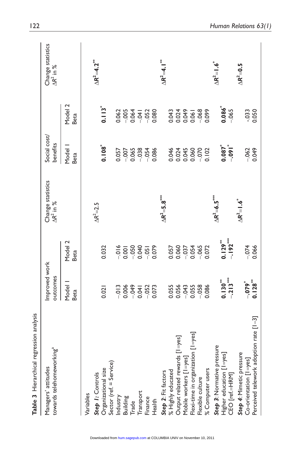| Table 3 Hierarchical regression analysis                                  |                           |                                                                      |                                        |                               |                                  |                                        |
|---------------------------------------------------------------------------|---------------------------|----------------------------------------------------------------------|----------------------------------------|-------------------------------|----------------------------------|----------------------------------------|
| towards telehomeworking <sup>a</sup><br>Managers' attitudes               | Improved work<br>outcomes |                                                                      | Change statistics<br>$\Delta R^2$ in % | Social cost/<br>benefits      |                                  | Change statistics<br>$\Delta R^2$ in % |
|                                                                           | Model  <br>Beta           | Model 2<br>Beta                                                      |                                        | Model  <br>Beta               | Model 2<br>Beta                  |                                        |
| Variables                                                                 |                           |                                                                      |                                        |                               |                                  |                                        |
|                                                                           |                           |                                                                      | $\Delta R^2 = 2.5$                     |                               |                                  | $\Delta R^2 = 4.2$ <sup>***</sup>      |
| <b>Step 1:</b> Controls<br>Organizational size<br>Sector (ref. = Service) | 0.021                     | 0.032                                                                |                                        | $0.108^{*}$                   | $0.113$ <sup>*</sup>             |                                        |
|                                                                           |                           |                                                                      |                                        |                               |                                  |                                        |
| Industry                                                                  |                           |                                                                      |                                        | 0.057                         | 0.062                            |                                        |
| <b>Building</b>                                                           | $-0.013$                  | $-0.000$<br>$-0.000$<br>$-0.000$<br>$-0.000$<br>$-0.000$<br>$-0.000$ |                                        | $-0.007$                      | $-0.005$                         |                                        |
| Trade                                                                     | $-0.49$                   |                                                                      |                                        | 0.065                         | 0.064                            |                                        |
| Transport                                                                 | 0.041                     |                                                                      |                                        |                               |                                  |                                        |
| Finance                                                                   | $-052$<br>0.073           |                                                                      |                                        | $-0.038$<br>$-0.054$<br>0.086 | $-341$<br>$-352$<br>$-352$       |                                        |
| Health                                                                    |                           |                                                                      |                                        |                               |                                  |                                        |
| Step 2: Fit factors                                                       |                           |                                                                      | $\Delta R^2$ =5.8***                   |                               |                                  | $\Delta R^2 = 4.1$ <sup>**</sup>       |
| % Highly educated                                                         | 0.055                     | 0.057<br>0.060<br>0.054<br>0.054<br>0.072                            |                                        |                               | 0.043                            |                                        |
| Output related rewards [I=yes]<br>Mobile workers [I=yes]                  | 0.056                     |                                                                      |                                        |                               |                                  |                                        |
|                                                                           | $-0.43$                   |                                                                      |                                        |                               |                                  |                                        |
| $[1 = yes]$<br>Flexi-time in organization                                 | 0.055                     |                                                                      |                                        |                               | 0.024<br>0.049<br>0.060<br>0.099 |                                        |
| Flexible culture                                                          | $-0.058$                  |                                                                      |                                        |                               |                                  |                                        |
| % Computer users                                                          |                           |                                                                      |                                        |                               |                                  |                                        |
| Step 3: Normative pressure                                                |                           |                                                                      | $\Delta R^2$ =6.5"                     |                               |                                  | $\Delta R^2$ =1.6 $^*$                 |
| Higher education [I=yes]<br>CEO [ref.=HRM]                                | $-213***$<br>$0.130^{**}$ | $-192***$<br>$0.129***$                                              |                                        | $-0.091$<br>0.087             | $0.086^{*}$<br>$-065$            |                                        |
| Step 4: Mimetic pressure                                                  |                           |                                                                      | $\Delta R^2 = 1.6$                     |                               |                                  | $\Delta R^2 = 0.5$                     |
| Perceived telework adoption rate [1-3]<br>Co-orientation [I=yes]          | $0.128***$<br>$-079$      | $-0.066$                                                             |                                        | 0.049<br>$-062$               | $-0.033$                         |                                        |
|                                                                           |                           |                                                                      |                                        |                               |                                  |                                        |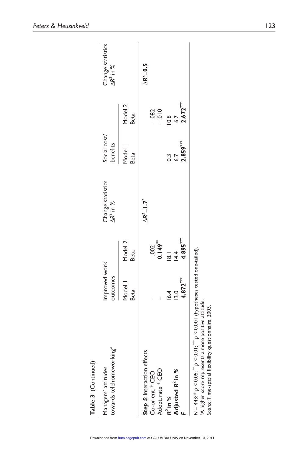| towards telehomeworking <sup>a</sup><br>Managers' attitudes                                                                                                 | Improved work<br>outcomes |                               | Change statistics<br>$\Delta R^2$ in % | Social cost/<br>benefits |                             | Change statistics<br>$\Delta R^2$ in % |
|-------------------------------------------------------------------------------------------------------------------------------------------------------------|---------------------------|-------------------------------|----------------------------------------|--------------------------|-----------------------------|----------------------------------------|
|                                                                                                                                                             | Model<br>Beta             | Model 2<br>Beta               |                                        | Model<br>Beta            | Model 2<br>Beta             |                                        |
| Step 5: Interaction effects                                                                                                                                 |                           |                               | $\Delta R^2 = 1.7$                     |                          |                             | $\Delta R^2$ =0.5                      |
| Co-orient.* CEO                                                                                                                                             | I                         |                               |                                        |                          | $-082$                      |                                        |
| Adopt.rate * CEO                                                                                                                                            | I                         | $-002$<br>0.149 <sup>**</sup> |                                        |                          | $-010$                      |                                        |
| $R^2$ in %                                                                                                                                                  | 16.4                      | $\frac{1}{\infty}$            |                                        | $\frac{2}{3}$            |                             |                                        |
| Adjusted R <sup>2</sup> in %                                                                                                                                | 13.0                      | 14.4                          |                                        | 6.7                      | $\frac{8}{6}$ $\frac{8}{9}$ |                                        |
|                                                                                                                                                             | $4.872***$                | $4.895***$                    |                                        | $2.859***$               | $2.672***$                  |                                        |
| $N = 443$ ; $* p < 0.05$ ; $* p < 0.01$ ; $* p < 0.001$ (hypotheses tested one-tailed).<br><sup>2</sup> A higher score represents a more positive attitude. |                           |                               |                                        |                          |                             |                                        |
| Source: Time-spatial flexibility questionnaire, 2003.                                                                                                       |                           |                               |                                        |                          |                             |                                        |

Table 3 (Continued)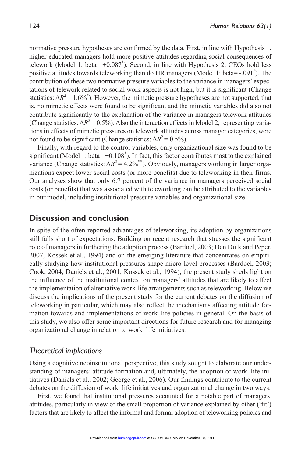normative pressure hypotheses are confirmed by the data. First, in line with Hypothesis 1, higher educated managers hold more positive attitudes regarding social consequences of telework (Model 1: beta= +0.087\* ). Second, in line with Hypothesis 2, CEOs hold less positive attitudes towards teleworking than do HR managers (Model 1: beta= -.091\* ). The contribution of these two normative pressure variables to the variance in managers' expectations of telework related to social work aspects is not high, but it is significant (Change statistics:  $\Delta R^2 = 1.6\%$ <sup>\*</sup>). However, the mimetic pressure hypotheses are not supported, that is, no mimetic effects were found to be significant and the mimetic variables did also not contribute significantly to the explanation of the variance in managers telework attitudes (Change statistics:  $\Delta R^2 = 0.5\%$ ). Also the interaction effects in Model 2, representing variations in effects of mimetic pressures on telework attitudes across manager categories, were not found to be significant (Change statistics:  $\Delta R^2 = 0.5\%$ ).

Finally, with regard to the control variables, only organizational size was found to be significant (Model 1: beta= $+0.108$ <sup>\*</sup>). In fact, this factor contributes most to the explained variance (Change statistics:  $\Delta R^2 = 4.2\%$ <sup>\*\*</sup>). Obviously, managers working in larger organizations expect lower social costs (or more benefits) due to teleworking in their firms. Our analyses show that only 6.7 percent of the variance in managers perceived social costs (or benefits) that was associated with teleworking can be attributed to the variables in our model, including institutional pressure variables and organizational size.

# **Discussion and conclusion**

In spite of the often reported advantages of teleworking, its adoption by organizations still falls short of expectations. Building on recent research that stresses the significant role of managers in furthering the adoption process (Bardoel, 2003; Den Dulk and Peper, 2007; Kossek et al., 1994) and on the emerging literature that concentrates on empirically studying how institutional pressures shape micro-level processes (Bardoel, 2003; Cook, 2004; Daniels et al., 2001; Kossek et al., 1994), the present study sheds light on the influence of the institutional context on managers' attitudes that are likely to affect the implementation of alternative work-life arrangements such as teleworking. Below we discuss the implications of the present study for the current debates on the diffusion of teleworking in particular, which may also reflect the mechanisms affecting attitude formation towards and implementations of work–life policies in general. On the basis of this study, we also offer some important directions for future research and for managing organizational change in relation to work–life initiatives.

#### *Theoretical implications*

Using a cognitive neoinstitutional perspective, this study sought to elaborate our understanding of managers' attitude formation and, ultimately, the adoption of work–life initiatives (Daniels et al., 2002; George et al., 2006). Our findings contribute to the current debates on the diffusion of work–life initiatives and organizational change in two ways.

First, we found that institutional pressures accounted for a notable part of managers' attitudes, particularly in view of the small proportion of variance explained by other ('fit') factors that are likely to affect the informal and formal adoption of teleworking policies and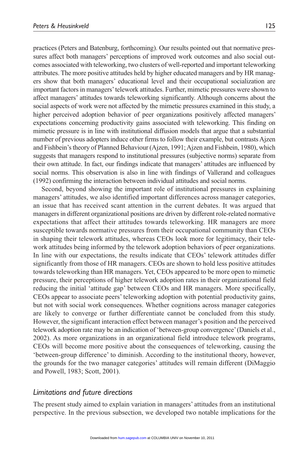practices (Peters and Batenburg, forthcoming). Our results pointed out that normative pressures affect both managers' perceptions of improved work outcomes and also social outcomes associated with teleworking, two clusters of well-reported and important teleworking attributes. The more positive attitudes held by higher educated managers and by HR managers show that both managers' educational level and their occupational socialization are important factors in managers' telework attitudes. Further, mimetic pressures were shown to affect managers' attitudes towards teleworking significantly. Although concerns about the social aspects of work were not affected by the mimetic pressures examined in this study, a higher perceived adoption behavior of peer organizations positively affected managers' expectations concerning productivity gains associated with teleworking. This finding on mimetic pressure is in line with institutional diffusion models that argue that a substantial number of previous adopters induce other firms to follow their example, but contrasts Ajzen and Fishbein's theory of Planned Behaviour (Ajzen, 1991; Ajzen and Fishbein, 1980), which suggests that managers respond to institutional pressures (subjective norms) separate from their own attitude. In fact, our findings indicate that managers' attitudes are influenced by social norms. This observation is also in line with findings of Vallerand and colleagues (1992) confirming the interaction between individual attitudes and social norms.

Second, beyond showing the important role of institutional pressures in explaining managers' attitudes, we also identified important differences across manager categories, an issue that has received scant attention in the current debates. It was argued that managers in different organizational positions are driven by different role-related normative expectations that affect their attitudes towards teleworking. HR managers are more susceptible towards normative pressures from their occupational community than CEOs in shaping their telework attitudes, whereas CEOs look more for legitimacy, their telework attitudes being informed by the telework adoption behaviors of peer organizations. In line with our expectations, the results indicate that CEOs' telework attitudes differ significantly from those of HR managers. CEOs are shown to hold less positive attitudes towards teleworking than HR managers. Yet, CEOs appeared to be more open to mimetic pressure, their perceptions of higher telework adoption rates in their organizational field reducing the initial 'attitude gap' between CEOs and HR managers. More specifically, CEOs appear to associate peers' teleworking adoption with potential productivity gains, but not with social work consequences. Whether cognitions across manager categories are likely to converge or further differentiate cannot be concluded from this study. However, the significant interaction effect between manager's position and the perceived telework adoption rate may be an indication of 'between-group convergence' (Daniels et al., 2002). As more organizations in an organizational field introduce telework programs, CEOs will become more positive about the consequences of teleworking, causing the 'between-group difference' to diminish. According to the institutional theory, however, the grounds for the two manager categories' attitudes will remain different (DiMaggio and Powell, 1983; Scott, 2001).

#### *Limitations and future directions*

The present study aimed to explain variation in managers' attitudes from an institutional perspective. In the previous subsection, we developed two notable implications for the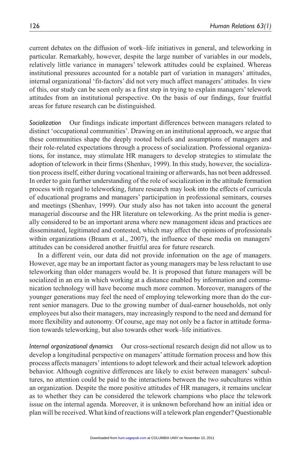current debates on the diffusion of work–life initiatives in general, and teleworking in particular. Remarkably, however, despite the large number of variables in our models, relatively little variance in managers' telework attitudes could be explained. Whereas institutional pressures accounted for a notable part of variation in managers' attitudes, internal organizational 'fit-factors' did not very much affect managers' attitudes. In view of this, our study can be seen only as a first step in trying to explain managers' telework attitudes from an institutional perspective. On the basis of our findings, four fruitful areas for future research can be distinguished.

*Socialization* Our findings indicate important differences between managers related to distinct 'occupational communities'. Drawing on an institutional approach, we argue that these communities shape the deeply rooted beliefs and assumptions of managers and their role-related expectations through a process of socialization. Professional organizations, for instance, may stimulate HR managers to develop strategies to stimulate the adoption of telework in their firms (Shenhav, 1999). In this study, however, the socialization process itself, either during vocational training or afterwards, has not been addressed. In order to gain further understanding of the role of socialization in the attitude formation process with regard to teleworking, future research may look into the effects of curricula of educational programs and managers' participation in professional seminars, courses and meetings (Shenhav, 1999). Our study also has not taken into account the general managerial discourse and the HR literature on teleworking. As the print media is generally considered to be an important arena where new management ideas and practices are disseminated, legitimated and contested, which may affect the opinions of professionals within organizations (Braam et al., 2007), the influence of these media on managers' attitudes can be considered another fruitful area for future research.

In a different vein, our data did not provide information on the age of managers. However, age may be an important factor as young managers may be less reluctant to use teleworking than older managers would be. It is proposed that future managers will be socialized in an era in which working at a distance enabled by information and communication technology will have become much more common. Moreover, managers of the younger generations may feel the need of employing teleworking more than do the current senior managers. Due to the growing number of dual-earner households, not only employees but also their managers, may increasingly respond to the need and demand for more flexibility and autonomy. Of course, age may not only be a factor in attitude formation towards teleworking, but also towards other work–life initiatives.

*Internal organizational dynamics* Our cross-sectional research design did not allow us to develop a longitudinal perspective on managers' attitude formation process and how this process affects managers' intentions to adopt telework and their actual telework adoption behavior. Although cognitive differences are likely to exist between managers' subcultures, no attention could be paid to the interactions between the two subcultures within an organization. Despite the more positive attitudes of HR managers, it remains unclear as to whether they can be considered the telework champions who place the telework issue on the internal agenda. Moreover, it is unknown beforehand how an initial idea or plan will be received. What kind of reactions will a telework plan engender? Questionable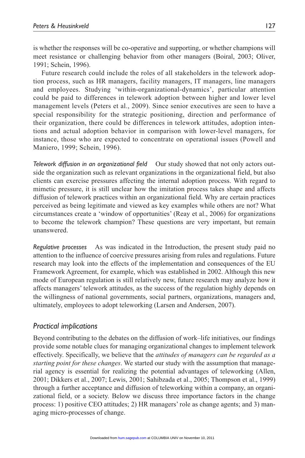is whether the responses will be co-operative and supporting, or whether champions will meet resistance or challenging behavior from other managers (Boiral, 2003; Oliver, 1991; Schein, 1996).

Future research could include the roles of all stakeholders in the telework adoption process, such as HR managers, facility managers, IT managers, line managers and employees. Studying 'within-organizational-dynamics', particular attention could be paid to differences in telework adoption between higher and lower level management levels (Peters et al., 2009). Since senior executives are seen to have a special responsibility for the strategic positioning, direction and performance of their organization, there could be differences in telework attitudes, adoption intentions and actual adoption behavior in comparison with lower-level managers, for instance, those who are expected to concentrate on operational issues (Powell and Maniero, 1999; Schein, 1996).

*Telework diffusion in an organizational field* Our study showed that not only actors outside the organization such as relevant organizations in the organizational field, but also clients can exercise pressures affecting the internal adoption process. With regard to mimetic pressure, it is still unclear how the imitation process takes shape and affects diffusion of telework practices within an organizational field. Why are certain practices perceived as being legitimate and viewed as key examples while others are not? What circumstances create a 'window of opportunities' (Reay et al., 2006) for organizations to become the telework champion? These questions are very important, but remain unanswered.

*Regulative processes* As was indicated in the Introduction, the present study paid no attention to the influence of coercive pressures arising from rules and regulations. Future research may look into the effects of the implementation and consequences of the EU Framework Agreement, for example, which was established in 2002. Although this new mode of European regulation is still relatively new, future research may analyze how it affects managers' telework attitudes, as the success of the regulation highly depends on the willingness of national governments, social partners, organizations, managers and, ultimately, employees to adopt teleworking (Larsen and Andersen, 2007).

# *Practical implications*

Beyond contributing to the debates on the diffusion of work–life initiatives, our findings provide some notable clues for managing organizational changes to implement telework effectively. Specifically, we believe that the *attitudes of managers can be regarded as a starting point for these changes*. We started our study with the assumption that managerial agency is essential for realizing the potential advantages of teleworking (Allen, 2001; Dikkers et al., 2007; Lewis, 2001; Sahibzada et al., 2005; Thompson et al., 1999) through a further acceptance and diffusion of teleworking within a company, an organizational field, or a society. Below we discuss three importance factors in the change process: 1) positive CEO attitudes; 2) HR managers' role as change agents; and 3) managing micro-processes of change.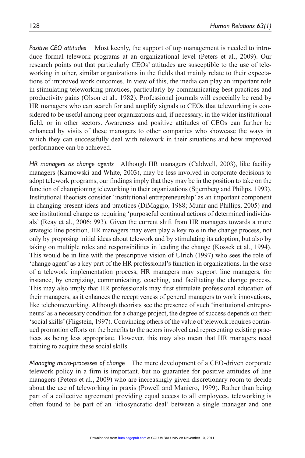*Positive CEO attitudes* Most keenly, the support of top management is needed to introduce formal telework programs at an organizational level (Peters et al., 2009). Our research points out that particularly CEOs' attitudes are susceptible to the use of teleworking in other, similar organizations in the fields that mainly relate to their expectations of improved work outcomes. In view of this, the media can play an important role in stimulating teleworking practices, particularly by communicating best practices and productivity gains (Olson et al., 1982). Professional journals will especially be read by HR managers who can search for and amplify signals to CEOs that teleworking is considered to be useful among peer organizations and, if necessary, in the wider institutional field, or in other sectors. Awareness and positive attitudes of CEOs can further be enhanced by visits of these managers to other companies who showcase the ways in which they can successfully deal with telework in their situations and how improved performance can be achieved.

*HR managers as change agents* Although HR managers (Caldwell, 2003), like facility managers (Karnowski and White, 2003), may be less involved in corporate decisions to adopt telework programs, our findings imply that they may be in the position to take on the function of championing teleworking in their organizations (Stjernberg and Philips, 1993). Institutional theorists consider 'institutional entrepreneurship' as an important component in changing present ideas and practices (DiMaggio, 1988; Munir and Phillips, 2005) and see institutional change as requiring 'purposeful continual actions of determined individuals' (Reay et al., 2006: 993). Given the current shift from HR managers towards a more strategic line position, HR managers may even play a key role in the change process, not only by proposing initial ideas about telework and by stimulating its adoption, but also by taking on multiple roles and responsibilities in leading the change (Kossek et al., 1994). This would be in line with the prescriptive vision of Ulrich (1997) who sees the role of 'change agent' as a key part of the HR professional's function in organizations. In the case of a telework implementation process, HR managers may support line managers, for instance, by energizing, communicating, coaching, and facilitating the change process. This may also imply that HR professionals may first stimulate professional education of their managers, as it enhances the receptiveness of general managers to work innovations, like telehomeworking. Although theorists see the presence of such 'institutional entrepreneurs' as a necessary condition for a change project, the degree of success depends on their 'social skills' (Fligstein, 1997). Convincing others of the value of telework requires continued promotion efforts on the benefits to the actors involved and representing existing practices as being less appropriate. However, this may also mean that HR managers need training to acquire these social skills.

*Managing micro-processes of change* The mere development of a CEO-driven corporate telework policy in a firm is important, but no guarantee for positive attitudes of line managers (Peters et al., 2009) who are increasingly given discretionary room to decide about the use of teleworking in praxis (Powell and Maniero, 1999). Rather than being part of a collective agreement providing equal access to all employees, teleworking is often found to be part of an 'idiosyncratic deal' between a single manager and one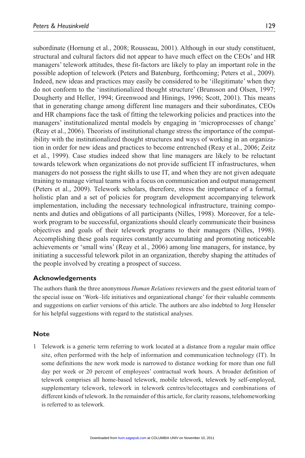subordinate (Hornung et al., 2008; Rousseau, 2001). Although in our study constituent, structural and cultural factors did not appear to have much effect on the CEOs' and HR managers' telework attitudes, these fit-factors are likely to play an important role in the possible adoption of telework (Peters and Batenburg, forthcoming; Peters et al., 2009). Indeed, new ideas and practices may easily be considered to be 'illegitimate' when they do not conform to the 'institutionalized thought structure' (Brunsson and Olsen, 1997; Dougherty and Heller, 1994; Greenwood and Hinings, 1996; Scott, 2001). This means that in generating change among different line managers and their subordinates, CEOs and HR champions face the task of fitting the teleworking policies and practices into the managers' institutionalized mental models by engaging in 'microprocesses of change' (Reay et al., 2006). Theorists of institutional change stress the importance of the compatibility with the institutionalized thought structures and ways of working in an organization in order for new ideas and practices to become entrenched (Reay et al., 2006; Zeitz et al., 1999). Case studies indeed show that line managers are likely to be reluctant towards telework when organizations do not provide sufficient IT infrastructures, when managers do not possess the right skills to use IT, and when they are not given adequate training to manage virtual teams with a focus on communication and output management (Peters et al., 2009). Telework scholars, therefore, stress the importance of a formal, holistic plan and a set of policies for program development accompanying telework implementation, including the necessary technological infrastructure, training components and duties and obligations of all participants (Nilles, 1998). Moreover, for a telework program to be successful, organizations should clearly communicate their business objectives and goals of their telework programs to their managers (Nilles, 1998). Accomplishing these goals requires constantly accumulating and promoting noticeable achievements or 'small wins' (Reay et al., 2006) among line managers, for instance, by initiating a successful telework pilot in an organization, thereby shaping the attitudes of the people involved by creating a prospect of success.

# **Acknowledgements**

The authors thank the three anonymous *Human Relations* reviewers and the guest editorial team of the special issue on 'Work–life initiatives and organizational change' for their valuable comments and suggestions on earlier versions of this article. The authors are also indebted to Jorg Henseler for his helpful suggestions with regard to the statistical analyses.

# **Note**

1 Telework is a generic term referring to work located at a distance from a regular main office site, often performed with the help of information and communication technology (IT). In some definitions the new work mode is narrowed to distance working for more than one full day per week or 20 percent of employees' contractual work hours. A broader definition of telework comprises all home-based telework, mobile telework, telework by self-employed, supplementary telework, telework in telework centres/telecottages and combinations of different kinds of telework. In the remainder of this article, for clarity reasons, telehomeworking is referred to as telework.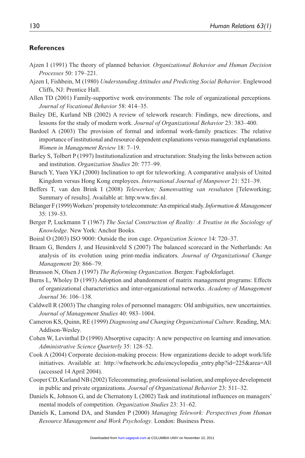#### **References**

- Ajzen I (1991) The theory of planned behavior. *Organizational Behavior and Human Decision Processes* 50: 179–221.
- Ajzen I, Fishbein, M (1980) *Understanding Attitudes and Predicting Social Behavior*. Englewood Cliffs, NJ: Prentice Hall.
- Allen TD (2001) Family-supportive work environments: The role of organizational perceptions. *Journal of Vocational Behavior* 58: 414–35.
- Bailey DE, Kurland NB (2002) A review of telework research: Findings, new directions, and lessons for the study of modern work. *Journal of Organizational Behavior* 23: 383–400.
- Bardoel A (2003) The provision of formal and informal work-family practices: The relative importance of institutional and resource dependent explanations versus managerial explanations. *Women in Management Review* 18: 7–19.
- Barley S, Tolbert P (1997) Institutionalization and structuration: Studying the links between action and institution. *Organization Studies* 20: 777–99.
- Baruch Y, Yuen YKJ (2000) Inclination to opt for teleworking. A comparative analysis of United Kingdom versus Hong Kong employees. *International Journal of Manpower* 21: 521–39.
- Beffers T, van den Brink I (2008) *Telewerken; Samenvatting van resultaten* [Teleworking; Summary of results]. Available at: http:www.fnv.nl.
- Bélanger F (1999) Workers' propensity to telecommute: An empirical study. *Information & Management* 35: 139–53.
- Berger P, Luckmann T (1967) *The Social Construction of Reality: A Treatise in the Sociology of Knowledge*. New York: Anchor Books.
- Boiral O (2003) ISO 9000: Outside the iron cage. *Organization Science* 14: 720–37.
- Braam G, Benders J, and Heusinkveld S (2007) The balanced scorecard in the Netherlands: An analysis of its evolution using print-media indicators. *Journal of Organizational Change Management* 20: 866–79.
- Brunsson N, Olsen J (1997) *The Reforming Organization*. Bergen: Fagbokforlaget.
- Burns L, Wholey D (1993) Adoption and abandonment of matrix management programs: Effects of organizational characteristics and inter-organizational networks. *Academy of Management Journal* 36: 106–138.
- Caldwell R (2003) The changing roles of personnel managers: Old ambiguities, new uncertainties. *Journal of Management Studies* 40: 983–1004.
- Cameron KS, Quinn, RE (1999) *Diagnosing and Changing Organizational Culture*. Reading, MA: Addison-Wesley.
- Cohen W, Levinthal D (1990) Absorptive capacity: A new perspective on learning and innovation. *Administrative Science Quarterly* 35: 128–52.
- Cook A (2004) Corporate decision-making process: How organizations decide to adopt work/life initiatives. Available at: http://wfnetwork.bc.edu/encyclopedia\_entry.php?id=225&area=All (accessed 14 April 2004).
- Cooper CD, Kurland NB (2002) Telecommuting, professional isolation, and employee development in public and private organizations. *Journal of Organizational Behavior* 23: 511–32.
- Daniels K, Johnson G, and de Chernatony L (2002) Task and institutional influences on managers' mental models of competition. *Organization Studies* 23: 31–62.
- Daniels K, Lamond DA, and Standen P (2000) *Managing Telework: Perspectives from Human Resource Management and Work Psychology*. London: Business Press.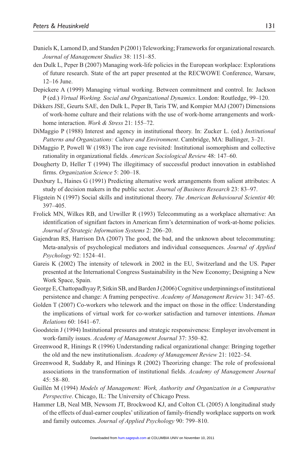- Daniels K, Lamond D, and Standen P (2001) Teleworking: Frameworks for organizational research. *Journal of Management Studies* 38: 1151–85.
- den Dulk L, Peper B (2007) Managing work-life policies in the European workplace: Explorations of future research. State of the art paper presented at the RECWOWE Conference, Warsaw, 12–16 June.
- Depickere A (1999) Managing virtual working. Between commitment and control. In: Jackson P (ed.) *Virtual Working. Social and Organizational Dynamics*. London: Routledge, 99–120.
- Dikkers JSE, Geurts SAE, den Dulk L, Peper B, Taris TW, and Kompier MAJ (2007) Dimensions of work-home culture and their relations with the use of work-home arrangements and workhome interaction. *Work & Stress* 21: 155–72.
- DiMaggio P (1988) Interest and agency in institutional theory. In: Zucker L. (ed.) *Institutional Patterns and Organizations: Culture and Environment*. Cambridge, MA: Ballinger, 3–21.
- DiMaggio P, Powell W (1983) The iron cage revisited: Institutional isomorphism and collective rationality in organizational fields. *American Sociological Review* 48: 147–60.
- Dougherty D, Heller T (1994) The illegitimacy of successful product innovation in established firms. *Organization Science* 5: 200–18.
- Duxbury L, Haines G (1991) Predicting alternative work arrangements from salient attributes: A study of decision makers in the public sector. *Journal of Business Research* 23: 83–97.
- Fligstein N (1997) Social skills and institutional theory. *The American Behavioural Scientist* 40: 397–405.
- Frolick MN, Wilkes RB, and Urwiller R (1993) Telecommuting as a workplace alternative: An identification of signifant factors in American firm's determination of work-at-home policies. *Journal of Strategic Information Systems* 2: 206–20.
- Gajendran RS, Harrison DA (2007) The good, the bad, and the unknown about telecommuting: Meta-analysis of psychological mediators and individual consequences. *Journal of Applied Psychology* 92: 1524–41.
- Gareis K (2002) The intensity of telework in 2002 in the EU, Switzerland and the US. Paper presented at the International Congress Sustainability in the New Economy; Designing a New Work Space, Spain.
- George E, Chattopadhyay P, Sitkin SB, and Barden J (2006) Cognitive underpinnings of institutional persistence and change: A framing perspective. *Academy of Management Review* 31: 347–65.
- Golden T (2007) Co-workers who telework and the impact on those in the office: Understanding the implications of virtual work for co-worker satisfaction and turnover intentions. *Human Relations* 60: 1641–67.
- Goodstein J (1994) Institutional pressures and strategic responsiveness: Employer involvement in work-family issues. *Academy of Management Journal* 37: 350–82.
- Greenwood R, Hinings R (1996) Understanding radical organizational change: Bringing together the old and the new institutionalism. *Academy of Management Review* 21: 1022–54.
- Greenwood R, Suddaby R, and Hinings R (2002) Theorizing change: The role of professional associations in the transformation of institutional fields. *Academy of Management Journal* 45: 58–80.
- Guillén M (1994) *Models of Management: Work, Authority and Organization in a Comparative Perspective*. Chicago, IL: The University of Chicago Press.
- Hammer LB, Neal MB, Newsom JT, Brockwood KJ, and Colton CL (2005) A longitudinal study of the effects of dual-earner couples' utilization of family-friendly workplace supports on work and family outcomes. *Journal of Applied Psychology* 90: 799–810.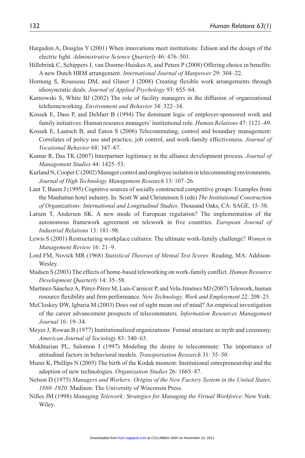- Hargadon A, Douglas Y (2001) When innovations meet institutions: Edison and the design of the electric light. *Administrative Science Quarterly* 46: 476–501.
- Hillebrink C, Schippers J, van Doorne-Huiskes A, and Peters P (2008) Offering choice in benefits: A new Dutch HRM arrangement. *International Journal of Manpower* 29: 304–22.
- Hornung S, Rousseau DM, and Glaser J (2008) Creating flexible work arrangements through idiosyncratic deals. *Journal of Applied Psychology* 93: 655–64.
- Karnowski S, White BJ (2002) The role of facility managers in the diffusion of organizational telehomeworking. *Environment and Behavior* 34: 322–34.
- Kossek E, Dass P, and DeMarr B (1994) The dominant logic of employer-sponsored work and family initiatives: Human resource managers' institutional role. *Human Relations* 47: 1121–49.
- Kossek E, Lautsch B, and Eaton S (2006) Telecommuting, control and boundary management: Correlates of policy use and practice, job control, and work-family effectiveness. *Journal of Vocational Behavior* 68: 347–67.
- Kumar R, Das TK (2007) Interpartner legitimacy in the alliance development process. *Journal of Management Studies* 44: 1425–53.
- Kurland N, Cooper C (2002) Manager control and employee isolation in telecommuting environments. *Journal of High Technology Management Research* 13: 107–26.
- Lant T, Baum J (1995) Cognitive sources of socially constructed competitive groups: Examples from the Manhattan hotel industry. In: Scott W and Christensen S (eds) *The Institutional Construction of Organizations: International and Longitudinal Studies*. Thousand Oaks, CA: SAGE, 15–38.
- Larsen T, Andersen SK. A new mode of European regulation? The implementation of the autonomous framework agreement on telework in five countries. *European Journal of Industrial Relations* 13: 181–98.
- Lewis S (2001) Restructuring workplace cultures: The ultimate work-family challenge? *Women in Management Review* 16: 21–9.
- Lord FM, Novick MR (1968) *Statistical Theories of Mental Test Scores*. Reading, MA: Addison-Wesley.
- Madsen S (2003) The effects of home-based teleworking on work-family conflict. *Human Resource Development Quarterly* 14: 35–58.
- Martínez-Sánchez A, Pérez-Pérez M, Luis-Carnicer P, and Vela-Jiménez MJ (2007) Telework, human resource flexibility and firm performance. *New Technology, Work and Employment* 22: 208–23.
- McCloskey DW, Igbaria M (2003) Does out of sight mean out of mind? An empirical investigation of the career advancement prospects of telecommuters. *Information Resources Management Journal* 16: 19–34.
- Meyer J, Rowan B (1977) Institutionalized organizations: Formal structure as myth and ceremony. *American Journal of Sociology* 83: 340–63.
- Mokhtarian PL, Salomon I (1997) Modeling the desire to telecommute: The importance of attitudinal factors in behavioral models. *Transportation Research* 31: 35–50.
- Munir K, Phillips N (2005) The birth of the Kodak moment: Institutional entrepreneurship and the adoption of new technologies. *Organization Studies* 26: 1665–87.
- Nelson D (1975) *Managers and Workers: Origins of the New Factory System in the United States, 1880–1920*. Madison: The University of Wisconsin Press.
- Nilles JM (1998) *Managing Telework: Strategies for Managing the Virtual Workforce*. New York: Wiley.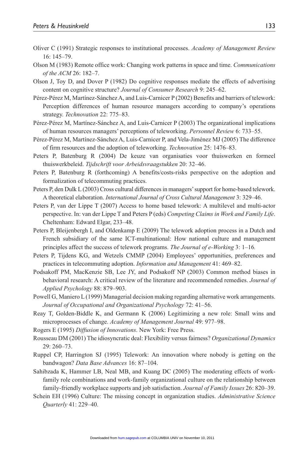- Oliver C (1991) Strategic responses to institutional processes. *Academy of Management Review* 16: 145–79.
- Olson M (1983) Remote office work: Changing work patterns in space and time. *Communications of the ACM* 26: 182–7.
- Olson J, Toy D, and Dover P (1982) Do cognitive responses mediate the effects of advertising content on cognitive structure? *Journal of Consumer Research* 9: 245–62.
- Pérez-Pérez M, Martínez-Sánchez A, and Luis-Carnicer P (2002) Benefits and barriers of telework: Perception differences of human resource managers according to company's operations strategy. *Technovation* 22: 775–83.
- Pérez-Pérez M, Martínez-Sánchez A, and Luis-Carnicer P (2003) The organizational implications of human resources managers' perceptions of teleworking. *Personnel Review* 6: 733–55.
- Pérez-Pérez M, Martínez-Sánchez A, Luis-Carnicer P, and Vela-Jiménez MJ (2005) The difference of firm resources and the adoption of teleworking. *Technovation* 25: 1476–83.
- Peters P, Batenburg R (2004) De keuze van organisaties voor thuiswerken en formeel thuiswerkbeleid. *Tijdschrift voor Arbeidsvraagstukken* 20: 32–46.
- Peters P, Batenburg R (forthcoming) A benefits/costs-risks perspective on the adoption and formalization of telecommuting practices.
- Peters P, den Dulk L (2003) Cross cultural differences in managers' support for home-based telework. A theoretical elaboration. *International Journal of Cross Cultural Management* 3: 329–46.
- Peters P, van der Lippe T (2007) Access to home based telework: A multilevel and multi-actor perspective. In: van der Lippe T and Peters P (eds) *Competing Claims in Work and Family Life*. Cheltenham: Edward Elgar, 233–48.
- Peters P, Bleijenbergh I, and Oldenkamp E (2009) The telework adoption process in a Dutch and French subsidiary of the same ICT-multinational: How national culture and management principles affect the success of telework programs. *The Journal of e-Working* 3: 1–16*.*
- Peters P, Tijdens KG, and Wetzels CMMP (2004) Employees' opportunities, preferences and practices in telecommuting adoption. *Information and Management* 41: 469–82.
- Podsakoff PM, MacKenzie SB, Lee JY, and Podsakoff NP (2003) Common method biases in behavioral research: A critical review of the literature and recommended remedies. *Journal of Applied Psychology* 88: 879–903.
- Powell G, Maniero L (1999) Managerial decision making regarding alternative work arrangements. *Journal of Occupational and Organizational Psychology* 72: 41–56.
- Reay T, Golden-Biddle K, and Germann K (2006) Legitimizing a new role: Small wins and microprocesses of change. *Academy of Management Journal* 49: 977–98.
- Rogers E (1995) *Diffusion of Innovations*. New York: Free Press.
- Rousseau DM (2001) The idiosyncratic deal: Flexibility versus fairness? *Organizational Dynamics* 29: 260–73.
- Ruppel CP, Harrington SJ (1995) Telework: An innovation where nobody is getting on the bandwagon? *Data Base Advances* 16: 87–104.
- Sahibzada K, Hammer LB, Neal MB, and Kuang DC (2005) The moderating effects of workfamily role combinations and work-family organizational culture on the relationship between family-friendly workplace supports and job satisfaction. *Journal of Family Issues* 26: 820–39.
- Schein EH (1996) Culture: The missing concept in organization studies. *Administrative Science Quarterly* 41: 229–40.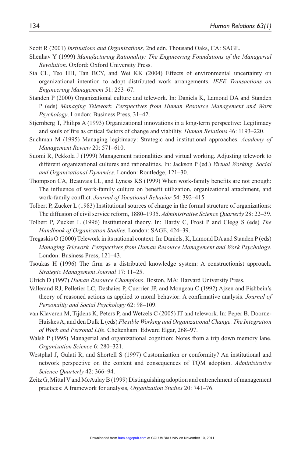Scott R (2001) *Institutions and Organizations*, 2nd edn. Thousand Oaks, CA: SAGE.

- Shenhav Y (1999) *Manufacturing Rationality: The Engineering Foundations of the Managerial Revolution*. Oxford: Oxford University Press.
- Sia CL, Teo HH, Tan BCY, and Wei KK (2004) Effects of environmental uncertainty on organizational intention to adopt distributed work arrangements. *IEEE Transactions on Engineering Management* 51: 253–67.
- Standen P (2000) Organizational culture and telework. In: Daniels K, Lamond DA and Standen P (eds) *Managing Telework. Perspectives from Human Resource Management and Work Psychology*. London: Business Press, 31–42.
- Stjernberg T, Philips A (1993) Organizational innovations in a long-term perspective: Legitimacy and souls of fire as critical factors of change and viability. *Human Relations* 46: 1193–220.
- Suchman M (1995) Managing legitimacy: Strategic and institutional approaches. *Academy of Management Review* 20: 571–610.
- Suomi R, Pekkola J (1999) Management rationalities and virtual working. Adjusting telework to different organizational cultures and rationalities. In: Jackson P (ed.) *Virtual Working. Social and Organizational Dynamics*. London: Routledge, 121–30.
- Thompson CA, Beauvais LL, and Lyness KS (1999) When work-family benefits are not enough: The influence of work-family culture on benefit utilization, organizational attachment, and work-family conflict. *Journal of Vocational Behavior* 54: 392–415.
- Tolbert P, Zucker L (1983) Institutional sources of change in the formal structure of organizations: The diffusion of civil service reform, 1880–1935. *Administrative Science Quarterly* 28: 22–39.
- Tolbert P, Zucker L (1996) Institutional theory. In: Hardy C, Frost P and Clegg S (eds) *The Handbook of Organization Studies*. London: SAGE, 424–39.
- Tregaskis O (2000) Telework in its national context. In: Daniels, K, Lamond DA and Standen P (eds) *Managing Telework. Perspectives from Human Resource Management and Work Psychology*. London: Business Press, 121–43.
- Tsoukas H (1996) The firm as a distributed knowledge system: A constructionist approach. *Strategic Management Journal* 17: 11–25.
- Ulrich D (1997) *Human Resource Champions*. Boston, MA: Harvard University Press.
- Vallerand RJ, Pelletier LC, Deshaies P, Cuerrier JP, and Mongeau C (1992) Ajzen and Fishbein's theory of reasoned actions as applied to moral behavior: A confirmative analysis. *Journal of Personality and Social Psychology* 62: 98–109.
- van Klaveren M, Tijdens K, Peters P, and Wetzels C (2005) IT and telework. In: Peper B, Doorne-Huiskes A, and den Dulk L (eds) *Flexible Working and Organizational Change. The Integration of Work and Personal Life*. Cheltenham: Edward Elgar, 268–97.
- Walsh P (1995) Managerial and organizational cognition: Notes from a trip down memory lane. *Organization Science* 6: 280–321.
- Westphal J, Gulati R, and Shortell S (1997) Customization or conformity? An institutional and network perspective on the content and consequences of TQM adoption. *Administrative Science Quarterly* 42: 366–94.
- Zeitz G, Mittal V and McAulay B (1999) Distinguishing adoption and entrenchment of management practices: A framework for analysis, *Organization Studies* 20: 741–76.